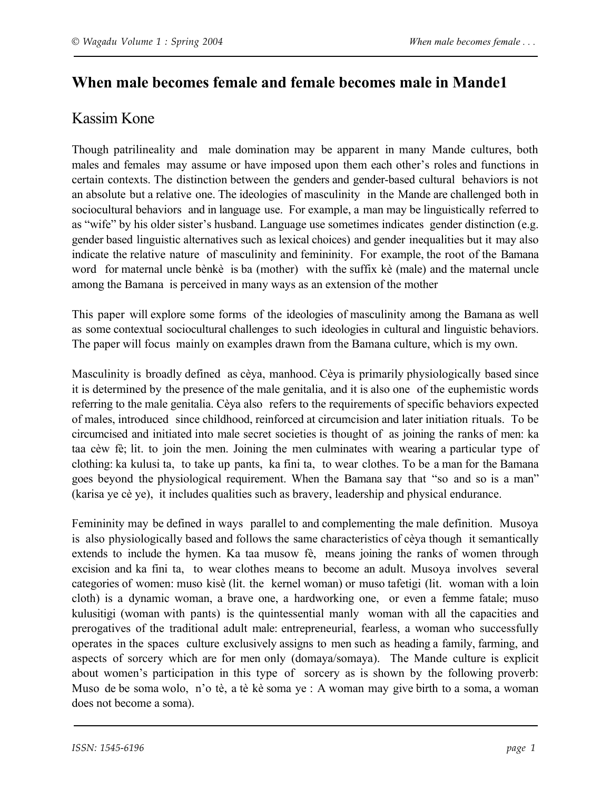# **When male becomes female and female becomes male in Mande1**

## Kassim Kone

Though patrilineality and male domination may be apparent in many Mande cultures, both males and females may assume or have imposed upon them each other's roles and functions in certain contexts. The distinction between the genders and gender-based cultural behaviors is not an absolute but a relative one. The ideologies of masculinity in the Mande are challenged both in sociocultural behaviors and in language use. For example, a man may be linguistically referred to as "wife" by his older sister's husband. Language use sometimes indicates gender distinction (e.g. gender based linguistic alternatives such as lexical choices) and gender inequalities but it may also indicate the relative nature of masculinity and femininity. For example, the root of the Bamana word for maternal uncle bènkè is ba (mother) with the suffix kè (male) and the maternal uncle among the Bamana is perceived in many ways as an extension of the mother

This paper will explore some forms of the ideologies of masculinity among the Bamana as well as some contextual sociocultural challenges to such ideologies in cultural and linguistic behaviors. The paper will focus mainly on examples drawn from the Bamana culture, which is my own.

Masculinity is broadly defined as cèya, manhood. Cèya is primarily physiologically based since it is determined by the presence of the male genitalia, and it is also one of the euphemistic words referring to the male genitalia. Cèya also refers to the requirements of specific behaviors expected of males, introduced since childhood, reinforced at circumcision and later initiation rituals. To be circumcised and initiated into male secret societies is thought of as joining the ranks of men: ka taa cèw fè; lit. to join the men. Joining the men culminates with wearing a particular type of clothing: ka kulusi ta, to take up pants, ka fini ta, to wear clothes. To be a man for the Bamana goes beyond the physiological requirement. When the Bamana say that "so and so is a man" (karisa ye cè ye), it includes qualities such as bravery, leadership and physical endurance.

Femininity may be defined in ways parallel to and complementing the male definition. Musoya is also physiologically based and follows the same characteristics of cèya though it semantically extends to include the hymen. Ka taa musow fè, means joining the ranks of women through excision and ka fini ta, to wear clothes means to become an adult. Musoya involves several categories of women: muso kisè (lit. the kernel woman) or muso tafetigi (lit. woman with a loin cloth) is a dynamic woman, a brave one, a hardworking one, or even a femme fatale; muso kulusitigi (woman with pants) is the quintessential manly woman with all the capacities and prerogatives of the traditional adult male: entrepreneurial, fearless, a woman who successfully operates in the spaces culture exclusively assigns to men such as heading a family, farming, and aspects of sorcery which are for men only (domaya/somaya). The Mande culture is explicit about women's participation in this type of sorcery as is shown by the following proverb: Muso de be soma wolo, n'o tè, a tè kè soma ye : A woman may give birth to a soma, a woman does not become a soma).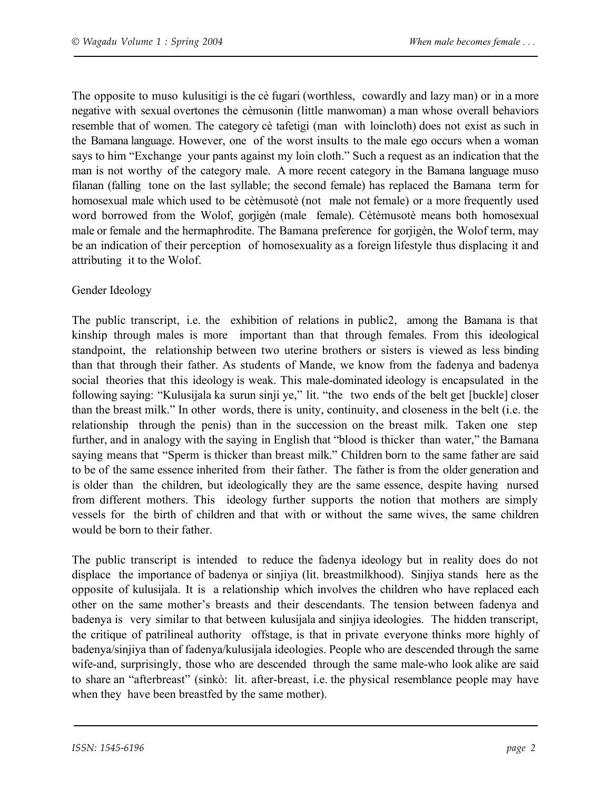The opposite to muso kulusitigi is the cè fugari (worthless, cowardly and lazy man) or in a more negative with sexual overtones the cèmusonin (little manwoman) a man whose overall behaviors resemble that of women. The category cè tafetigi (man with loincloth) does not exist as such in the Bamana language. However, one of the worst insults to the male ego occurs when a woman says to him "Exchange your pants against my loin cloth." Such a request as an indication that the man is not worthy of the category male. A more recent category in the Bamana language muso filanan (falling tone on the last syllable; the second female) has replaced the Bamana term for homosexual male which used to be cètèmusotè (not male not female) or a more frequently used word borrowed from the Wolof, gorjigèn (male female). Cètèmusotè means both homosexual male or female and the hermaphrodite. The Bamana preference for gorjigèn, the Wolof term, may be an indication of their perception of homosexuality as a foreign lifestyle thus displacing it and attributing it to the Wolof.

### Gender Ideology

The public transcript, i.e. the exhibition of relations in public2, among the Bamana is that kinship through males is more important than that through females. From this ideological standpoint, the relationship between two uterine brothers or sisters is viewed as less binding than that through their father. As students of Mande, we know from the fadenya and badenya social theories that this ideology is weak. This male-dominated ideology is encapsulated in the following saying: "Kulusijala ka surun sinji ye," lit. "the two ends of the belt get [buckle] closer than the breast milk." In other words, there is unity, continuity, and closeness in the belt (i.e. the relationship through the penis) than in the succession on the breast milk. Taken one step further, and in analogy with the saying in English that "blood is thicker than water," the Bamana saying means that "Sperm is thicker than breast milk." Children born to the same father are said to be of the same essence inherited from their father. The father is from the older generation and is older than the children, but ideologically they are the same essence, despite having nursed from different mothers. This ideology further supports the notion that mothers are simply vessels for the birth of children and that with or without the same wives, the same children would be born to their father.

The public transcript is intended to reduce the fadenya ideology but in reality does do not displace the importance of badenya or sinjiya (lit. breastmilkhood). Sinjiya stands here as the opposite of kulusijala. It is a relationship which involves the children who have replaced each other on the same mother's breasts and their descendants. The tension between fadenya and badenya is very similar to that between kulusijala and sinjiya ideologies. The hidden transcript, the critique of patrilineal authority offstage, is that in private everyone thinks more highly of badenya/sinjiya than of fadenya/kulusijala ideologies. People who are descended through the same wife-and, surprisingly, those who are descended through the same male-who look alike are said to share an "afterbreast" (sinkò: lit. after-breast, i.e. the physical resemblance people may have when they have been breastfed by the same mother).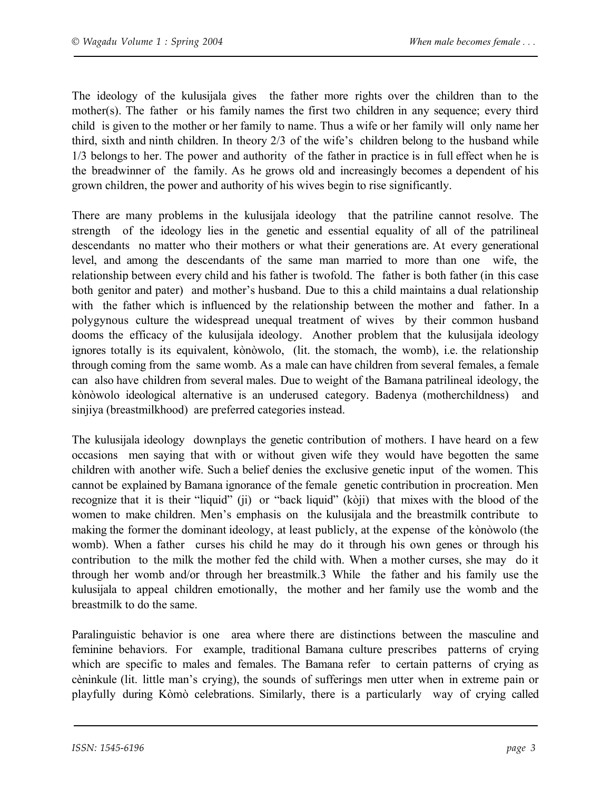The ideology of the kulusijala gives the father more rights over the children than to the mother(s). The father or his family names the first two children in any sequence; every third child is given to the mother or her family to name. Thus a wife or her family will only name her third, sixth and ninth children. In theory 2/3 of the wife's children belong to the husband while 1/3 belongs to her. The power and authority of the father in practice is in full effect when he is the breadwinner of the family. As he grows old and increasingly becomes a dependent of his grown children, the power and authority of his wives begin to rise significantly.

There are many problems in the kulusijala ideology that the patriline cannot resolve. The strength of the ideology lies in the genetic and essential equality of all of the patrilineal descendants no matter who their mothers or what their generations are. At every generational level, and among the descendants of the same man married to more than one wife, the relationship between every child and his father is twofold. The father is both father (in this case both genitor and pater) and mother's husband. Due to this a child maintains a dual relationship with the father which is influenced by the relationship between the mother and father. In a polygynous culture the widespread unequal treatment of wives by their common husband dooms the efficacy of the kulusijala ideology. Another problem that the kulusijala ideology ignores totally is its equivalent, kònòwolo, (lit. the stomach, the womb), i.e. the relationship through coming from the same womb. As a male can have children from several females, a female can also have children from several males. Due to weight of the Bamana patrilineal ideology, the kònòwolo ideological alternative is an underused category. Badenya (motherchildness) and sinjiya (breastmilkhood) are preferred categories instead.

The kulusijala ideology downplays the genetic contribution of mothers. I have heard on a few occasions men saying that with or without given wife they would have begotten the same children with another wife. Such a belief denies the exclusive genetic input of the women. This cannot be explained by Bamana ignorance of the female genetic contribution in procreation. Men recognize that it is their "liquid" (ji) or "back liquid" (kòji) that mixes with the blood of the women to make children. Men's emphasis on the kulusijala and the breastmilk contribute to making the former the dominant ideology, at least publicly, at the expense of the kònòwolo (the womb). When a father curses his child he may do it through his own genes or through his contribution to the milk the mother fed the child with. When a mother curses, she may do it through her womb and/or through her breastmilk.3 While the father and his family use the kulusijala to appeal children emotionally, the mother and her family use the womb and the breastmilk to do the same.

Paralinguistic behavior is one area where there are distinctions between the masculine and feminine behaviors. For example, traditional Bamana culture prescribes patterns of crying which are specific to males and females. The Bamana refer to certain patterns of crying as cèninkule (lit. little man's crying), the sounds of sufferings men utter when in extreme pain or playfully during Kòmò celebrations. Similarly, there is a particularly way of crying called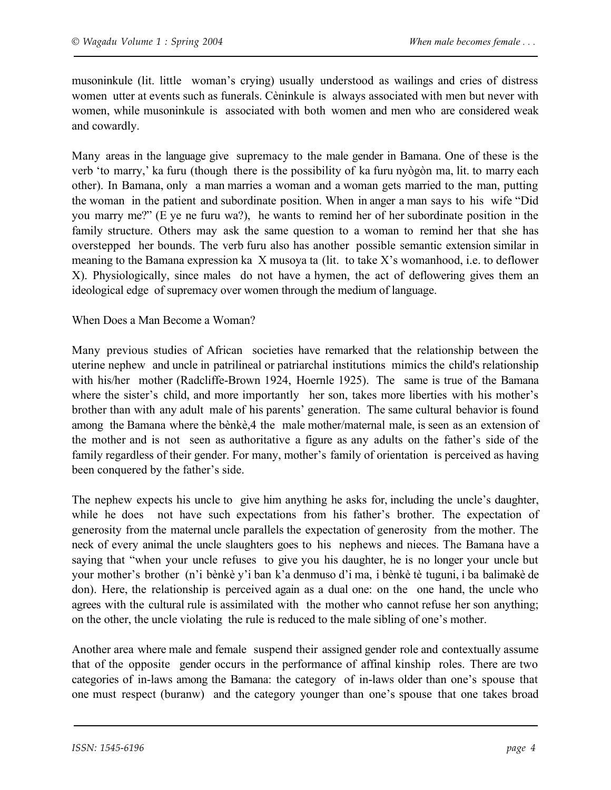musoninkule (lit. little woman's crying) usually understood as wailings and cries of distress women utter at events such as funerals. Cèninkule is always associated with men but never with women, while musoninkule is associated with both women and men who are considered weak and cowardly.

Many areas in the language give supremacy to the male gender in Bamana. One of these is the verb 'to marry,' ka furu (though there is the possibility of ka furu nyògòn ma, lit. to marry each other). In Bamana, only a man marries a woman and a woman gets married to the man, putting the woman in the patient and subordinate position. When in anger a man says to his wife "Did you marry me?" (E ye ne furu wa?), he wants to remind her of her subordinate position in the family structure. Others may ask the same question to a woman to remind her that she has overstepped her bounds. The verb furu also has another possible semantic extension similar in meaning to the Bamana expression ka X musoya ta (lit. to take X's womanhood, i.e. to deflower X). Physiologically, since males do not have a hymen, the act of deflowering gives them an ideological edge of supremacy over women through the medium of language.

When Does a Man Become a Woman?

Many previous studies of African societies have remarked that the relationship between the uterine nephew and uncle in patrilineal or patriarchal institutions mimics the child's relationship with his/her mother (Radcliffe-Brown 1924, Hoernle 1925). The same is true of the Bamana where the sister's child, and more importantly her son, takes more liberties with his mother's brother than with any adult male of his parents' generation. The same cultural behavior is found among the Bamana where the bènkè,4 the male mother/maternal male, is seen as an extension of the mother and is not seen as authoritative a figure as any adults on the father's side of the family regardless of their gender. For many, mother's family of orientation is perceived as having been conquered by the father's side.

The nephew expects his uncle to give him anything he asks for, including the uncle's daughter, while he does not have such expectations from his father's brother. The expectation of generosity from the maternal uncle parallels the expectation of generosity from the mother. The neck of every animal the uncle slaughters goes to his nephews and nieces. The Bamana have a saying that "when your uncle refuses to give you his daughter, he is no longer your uncle but your mother's brother (n'i bènkè y'i ban k'a denmuso d'i ma, i bènkè tè tuguni, i ba balimakè de don). Here, the relationship is perceived again as a dual one: on the one hand, the uncle who agrees with the cultural rule is assimilated with the mother who cannot refuse her son anything; on the other, the uncle violating the rule is reduced to the male sibling of one's mother.

Another area where male and female suspend their assigned gender role and contextually assume that of the opposite gender occurs in the performance of affinal kinship roles. There are two categories of in-laws among the Bamana: the category of in-laws older than one's spouse that one must respect (buranw) and the category younger than one's spouse that one takes broad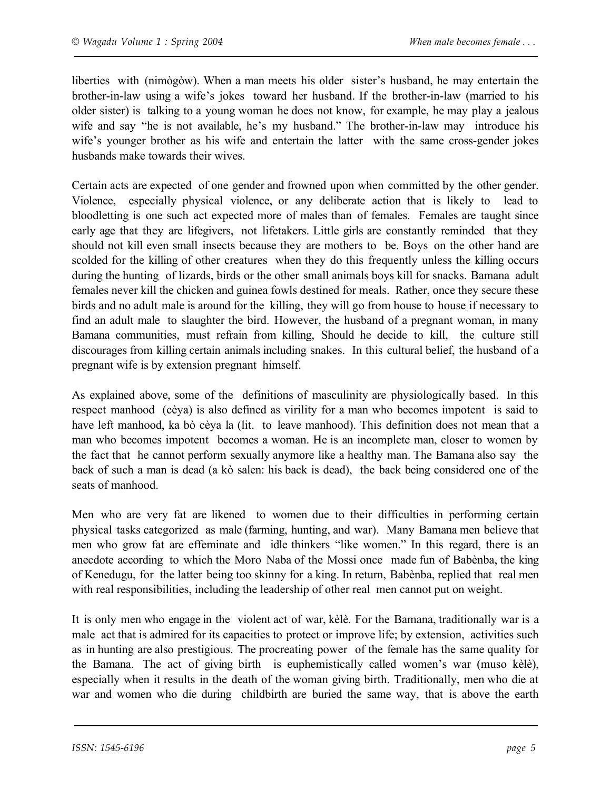liberties with (nimògòw). When a man meets his older sister's husband, he may entertain the brother-in-law using a wife's jokes toward her husband. If the brother-in-law (married to his older sister) is talking to a young woman he does not know, for example, he may play a jealous wife and say "he is not available, he's my husband." The brother-in-law may introduce his wife's younger brother as his wife and entertain the latter with the same cross-gender jokes husbands make towards their wives.

Certain acts are expected of one gender and frowned upon when committed by the other gender. Violence, especially physical violence, or any deliberate action that is likely to lead to bloodletting is one such act expected more of males than of females. Females are taught since early age that they are lifegivers, not lifetakers. Little girls are constantly reminded that they should not kill even small insects because they are mothers to be. Boys on the other hand are scolded for the killing of other creatures when they do this frequently unless the killing occurs during the hunting of lizards, birds or the other small animals boys kill for snacks. Bamana adult females never kill the chicken and guinea fowls destined for meals. Rather, once they secure these birds and no adult male is around for the killing, they will go from house to house if necessary to find an adult male to slaughter the bird. However, the husband of a pregnant woman, in many Bamana communities, must refrain from killing, Should he decide to kill, the culture still discourages from killing certain animals including snakes. In this cultural belief, the husband of a pregnant wife is by extension pregnant himself.

As explained above, some of the definitions of masculinity are physiologically based. In this respect manhood (cèya) is also defined as virility for a man who becomes impotent is said to have left manhood, ka bò cèya la (lit. to leave manhood). This definition does not mean that a man who becomes impotent becomes a woman. He is an incomplete man, closer to women by the fact that he cannot perform sexually anymore like a healthy man. The Bamana also say the back of such a man is dead (a kò salen: his back is dead), the back being considered one of the seats of manhood.

Men who are very fat are likened to women due to their difficulties in performing certain physical tasks categorized as male (farming, hunting, and war). Many Bamana men believe that men who grow fat are effeminate and idle thinkers "like women." In this regard, there is an anecdote according to which the Moro Naba of the Mossi once made fun of Babènba, the king of Kenedugu, for the latter being too skinny for a king. In return, Babènba, replied that real men with real responsibilities, including the leadership of other real men cannot put on weight.

It is only men who engage in the violent act of war, kèlè. For the Bamana, traditionally war is a male act that is admired for its capacities to protect or improve life; by extension, activities such as in hunting are also prestigious. The procreating power of the female has the same quality for the Bamana. The act of giving birth is euphemistically called women's war (muso kèlè), especially when it results in the death of the woman giving birth. Traditionally, men who die at war and women who die during childbirth are buried the same way, that is above the earth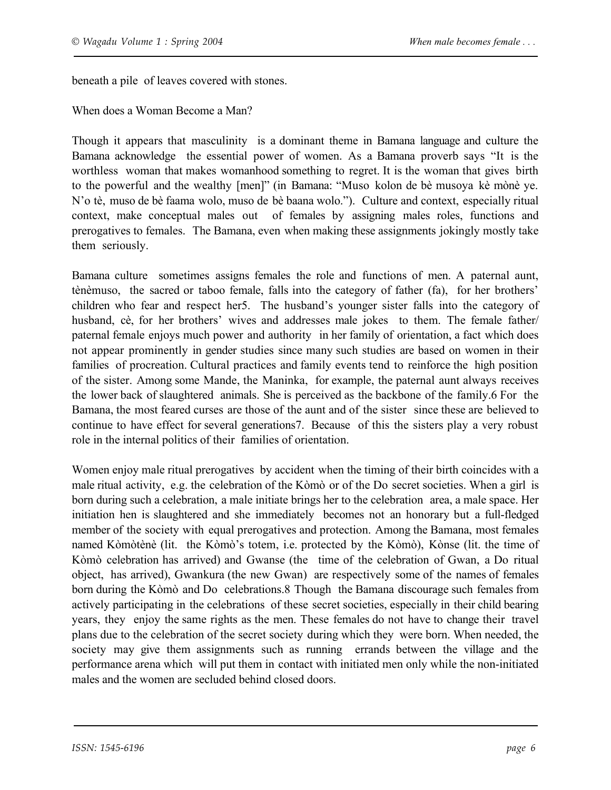beneath a pile of leaves covered with stones.

When does a Woman Become a Man?

Though it appears that masculinity is a dominant theme in Bamana language and culture the Bamana acknowledge the essential power of women. As a Bamana proverb says "It is the worthless woman that makes womanhood something to regret. It is the woman that gives birth to the powerful and the wealthy [men]" (in Bamana: "Muso kolon de bè musoya kè mònè ye. N'o tè, muso de bè faama wolo, muso de bè baana wolo."). Culture and context, especially ritual context, make conceptual males out of females by assigning males roles, functions and prerogatives to females. The Bamana, even when making these assignments jokingly mostly take them seriously.

Bamana culture sometimes assigns females the role and functions of men. A paternal aunt, tènèmuso, the sacred or taboo female, falls into the category of father (fa), for her brothers' children who fear and respect her5. The husband's younger sister falls into the category of husband, cè, for her brothers' wives and addresses male jokes to them. The female father/ paternal female enjoys much power and authority in her family of orientation, a fact which does not appear prominently in gender studies since many such studies are based on women in their families of procreation. Cultural practices and family events tend to reinforce the high position of the sister. Among some Mande, the Maninka, for example, the paternal aunt always receives the lower back of slaughtered animals. She is perceived as the backbone of the family.6 For the Bamana, the most feared curses are those of the aunt and of the sister since these are believed to continue to have effect for several generations7. Because of this the sisters play a very robust role in the internal politics of their families of orientation.

Women enjoy male ritual prerogatives by accident when the timing of their birth coincides with a male ritual activity, e.g. the celebration of the Kòmò or of the Do secret societies. When a girl is born during such a celebration, a male initiate brings her to the celebration area, a male space. Her initiation hen is slaughtered and she immediately becomes not an honorary but a full-fledged member of the society with equal prerogatives and protection. Among the Bamana, most females named Kòmòtènè (lit. the Kòmò's totem, i.e. protected by the Kòmò), Kònse (lit. the time of Kòmò celebration has arrived) and Gwanse (the time of the celebration of Gwan, a Do ritual object, has arrived), Gwankura (the new Gwan) are respectively some of the names of females born during the Kòmò and Do celebrations.8 Though the Bamana discourage such females from actively participating in the celebrations of these secret societies, especially in their child bearing years, they enjoy the same rights as the men. These females do not have to change their travel plans due to the celebration of the secret society during which they were born. When needed, the society may give them assignments such as running errands between the village and the performance arena which will put them in contact with initiated men only while the non-initiated males and the women are secluded behind closed doors.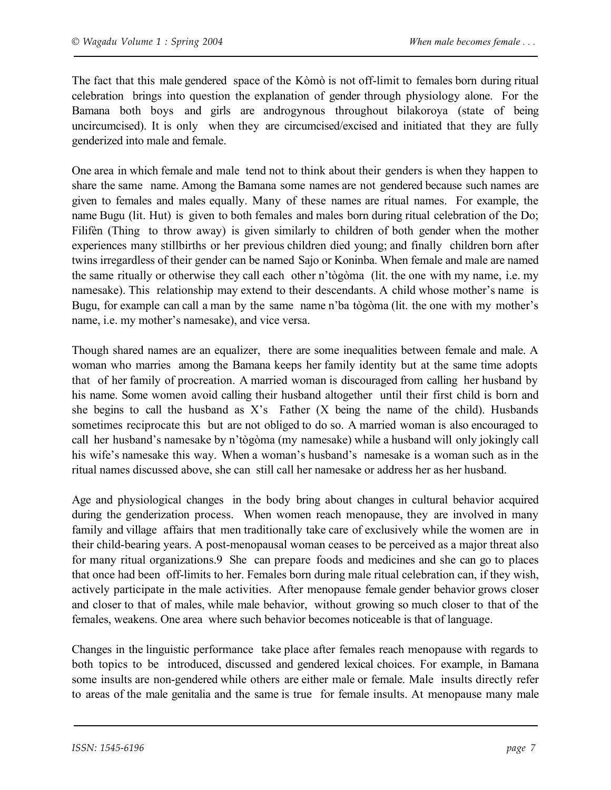The fact that this male gendered space of the Kòmò is not off-limit to females born during ritual celebration brings into question the explanation of gender through physiology alone. For the Bamana both boys and girls are androgynous throughout bilakoroya (state of being uncircumcised). It is only when they are circumcised/excised and initiated that they are fully genderized into male and female.

One area in which female and male tend not to think about their genders is when they happen to share the same name. Among the Bamana some names are not gendered because such names are given to females and males equally. Many of these names are ritual names. For example, the name Bugu (lit. Hut) is given to both females and males born during ritual celebration of the Do; Filifèn (Thing to throw away) is given similarly to children of both gender when the mother experiences many stillbirths or her previous children died young; and finally children born after twins irregardless of their gender can be named Sajo or Koninba. When female and male are named the same ritually or otherwise they call each other n'tògòma (lit. the one with my name, i.e. my namesake). This relationship may extend to their descendants. A child whose mother's name is Bugu, for example can call a man by the same name n'ba tògòma (lit. the one with my mother's name, i.e. my mother's namesake), and vice versa.

Though shared names are an equalizer, there are some inequalities between female and male. A woman who marries among the Bamana keeps her family identity but at the same time adopts that of her family of procreation. A married woman is discouraged from calling her husband by his name. Some women avoid calling their husband altogether until their first child is born and she begins to call the husband as X's Father (X being the name of the child). Husbands sometimes reciprocate this but are not obliged to do so. A married woman is also encouraged to call her husband's namesake by n'tògòma (my namesake) while a husband will only jokingly call his wife's namesake this way. When a woman's husband's namesake is a woman such as in the ritual names discussed above, she can still call her namesake or address her as her husband.

Age and physiological changes in the body bring about changes in cultural behavior acquired during the genderization process. When women reach menopause, they are involved in many family and village affairs that men traditionally take care of exclusively while the women are in their child-bearing years. A post-menopausal woman ceases to be perceived as a major threat also for many ritual organizations.9 She can prepare foods and medicines and she can go to places that once had been off-limits to her. Females born during male ritual celebration can, if they wish, actively participate in the male activities. After menopause female gender behavior grows closer and closer to that of males, while male behavior, without growing so much closer to that of the females, weakens. One area where such behavior becomes noticeable is that of language.

Changes in the linguistic performance take place after females reach menopause with regards to both topics to be introduced, discussed and gendered lexical choices. For example, in Bamana some insults are non-gendered while others are either male or female. Male insults directly refer to areas of the male genitalia and the same is true for female insults. At menopause many male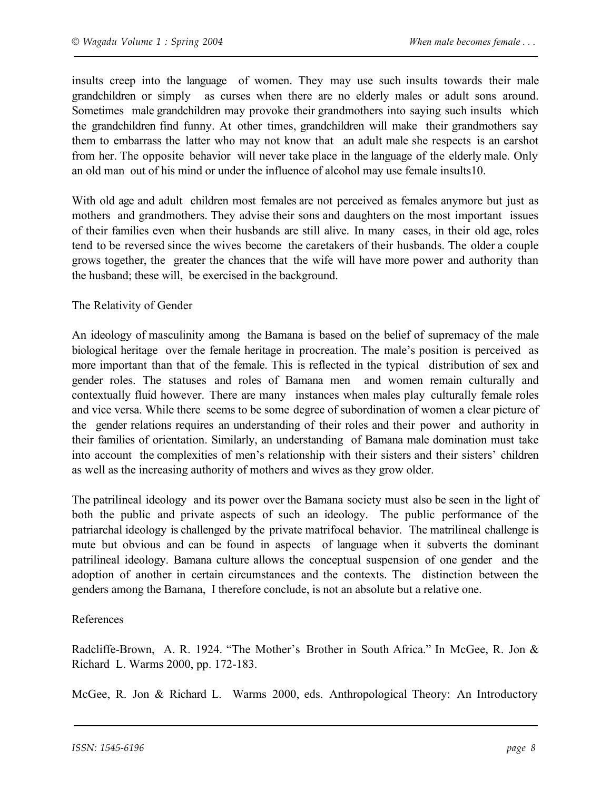insults creep into the language of women. They may use such insults towards their male grandchildren or simply as curses when there are no elderly males or adult sons around. Sometimes male grandchildren may provoke their grandmothers into saying such insults which the grandchildren find funny. At other times, grandchildren will make their grandmothers say them to embarrass the latter who may not know that an adult male she respects is an earshot from her. The opposite behavior will never take place in the language of the elderly male. Only an old man out of his mind or under the influence of alcohol may use female insults10.

With old age and adult children most females are not perceived as females anymore but just as mothers and grandmothers. They advise their sons and daughters on the most important issues of their families even when their husbands are still alive. In many cases, in their old age, roles tend to be reversed since the wives become the caretakers of their husbands. The older a couple grows together, the greater the chances that the wife will have more power and authority than the husband; these will, be exercised in the background.

#### The Relativity of Gender

An ideology of masculinity among the Bamana is based on the belief of supremacy of the male biological heritage over the female heritage in procreation. The male's position is perceived as more important than that of the female. This is reflected in the typical distribution of sex and gender roles. The statuses and roles of Bamana men and women remain culturally and contextually fluid however. There are many instances when males play culturally female roles and vice versa. While there seems to be some degree of subordination of women a clear picture of the gender relations requires an understanding of their roles and their power and authority in their families of orientation. Similarly, an understanding of Bamana male domination must take into account the complexities of men's relationship with their sisters and their sisters' children as well as the increasing authority of mothers and wives as they grow older.

The patrilineal ideology and its power over the Bamana society must also be seen in the light of both the public and private aspects of such an ideology. The public performance of the patriarchal ideology is challenged by the private matrifocal behavior. The matrilineal challenge is mute but obvious and can be found in aspects of language when it subverts the dominant patrilineal ideology. Bamana culture allows the conceptual suspension of one gender and the adoption of another in certain circumstances and the contexts. The distinction between the genders among the Bamana, I therefore conclude, is not an absolute but a relative one.

#### References

Radcliffe-Brown, A. R. 1924. "The Mother's Brother in South Africa." In McGee, R. Jon & Richard L. Warms 2000, pp. 172-183.

McGee, R. Jon & Richard L. Warms 2000, eds. Anthropological Theory: An Introductory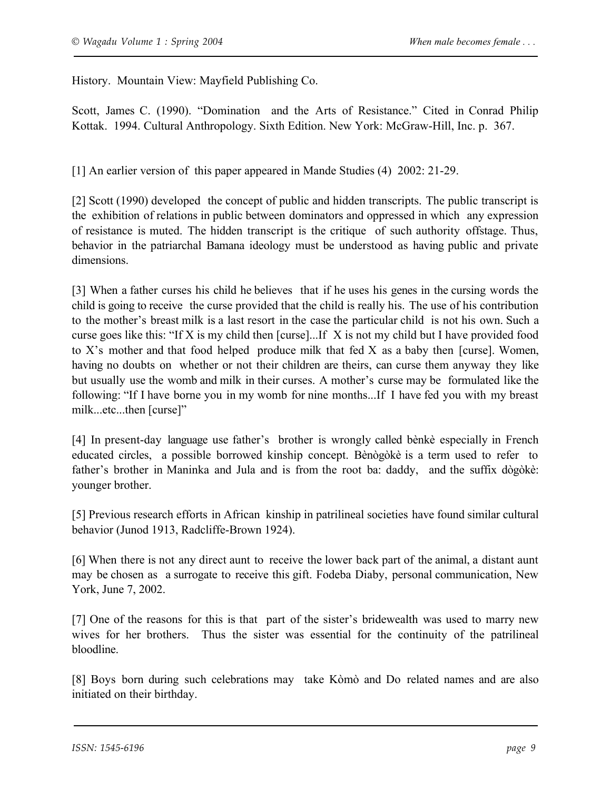History. Mountain View: Mayfield Publishing Co.

Scott, James C. (1990). "Domination and the Arts of Resistance." Cited in Conrad Philip Kottak. 1994. Cultural Anthropology. Sixth Edition. New York: McGraw-Hill, Inc. p. 367.

[1] An earlier version of this paper appeared in Mande Studies (4) 2002: 21-29.

[2] Scott (1990) developed the concept of public and hidden transcripts. The public transcript is the exhibition of relations in public between dominators and oppressed in which any expression of resistance is muted. The hidden transcript is the critique of such authority offstage. Thus, behavior in the patriarchal Bamana ideology must be understood as having public and private dimensions.

[3] When a father curses his child he believes that if he uses his genes in the cursing words the child is going to receive the curse provided that the child is really his. The use of his contribution to the mother's breast milk is a last resort in the case the particular child is not his own. Such a curse goes like this: "If X is my child then [curse]...If X is not my child but I have provided food to X's mother and that food helped produce milk that fed X as a baby then [curse]. Women, having no doubts on whether or not their children are theirs, can curse them anyway they like but usually use the womb and milk in their curses. A mother's curse may be formulated like the following: "If I have borne you in my womb for nine months...If I have fed you with my breast milk...etc...then [curse]"

[4] In present-day language use father's brother is wrongly called bènkè especially in French educated circles, a possible borrowed kinship concept. Bènògòkè is a term used to refer to father's brother in Maninka and Jula and is from the root ba: daddy, and the suffix dògòkè: younger brother.

[5] Previous research efforts in African kinship in patrilineal societies have found similar cultural behavior (Junod 1913, Radcliffe-Brown 1924).

[6] When there is not any direct aunt to receive the lower back part of the animal, a distant aunt may be chosen as a surrogate to receive this gift. Fodeba Diaby, personal communication, New York, June 7, 2002.

[7] One of the reasons for this is that part of the sister's bridewealth was used to marry new wives for her brothers. Thus the sister was essential for the continuity of the patrilineal bloodline.

[8] Boys born during such celebrations may take Kòmò and Do related names and are also initiated on their birthday.